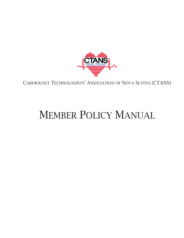

CARDIOLOGY TECHNOLOGISTS' ASSOCIATION OF NOVA SCOTIA (CTANS)

# MEMBER POLICY MANUAL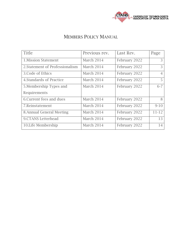

# MEMBERS POLICY MANUAL

| <b>Title</b>                    | Previous rev. | Last Rev.     | Page           |
|---------------------------------|---------------|---------------|----------------|
| 1. Mission Statement            | March 2014    | February 2022 | 3              |
| 2. Statement of Professionalism | March 2014    | February 2022 | 3              |
| 3. Code of Ethics               | March 2014    | February 2022 | $\overline{4}$ |
| 4. Standards of Practice        | March 2014    | February 2022 | 5              |
| 5. Membership Types and         | March 2014    | February 2022 | $6 - 7$        |
| Requirements                    |               |               |                |
| 6. Current fees and dues        | March 2014    | February 2022 | 8              |
| 7. Reinstatement                | March 2014    | February 2022 | $9-10$         |
| 8. Annual General Meeting       | March 2014    | February 2022 | $11 - 12$      |
| <b>9.CTANS Letterhead</b>       | March 2014    | February 2022 | 13             |
| 10. Life Membership             | March 2014    | February 2022 | 14             |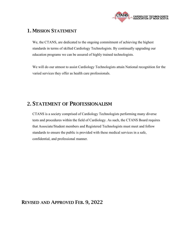

#### 1. MISSION STATEMENT

We, the CTANS, are dedicated to the ongoing commitment of achieving the highest standards in terms of skilled Cardiology Technologists. By continually upgrading our education programs we can be assured of highly trained technologists.

We will do our utmost to assist Cardiology Technologists attain National recognition for the varied services they offer as health care professionals.

## 2. STATEMENT OF PROFESSIONALISM

CTANS is a society comprised of Cardiology Technologists performing many diverse tests and procedures within the field of Cardiology. As such, the CTANS Board requires that Associate/Student members and Registered Technologists must meet and follow standards to ensure the public is provided with these medical services in a safe, confidential, and professional manner.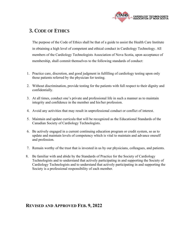

## 3. CODE OF ETHICS

The purpose of the Code of Ethics shall be that of a guide to assist the Health Care Institute in obtaining a high level of competent and ethical conduct in Cardiology Technology. All members of the Cardiology Technologists Association of Nova Scotia, upon acceptance of membership, shall commit themselves to the following standards of conduct:

- 1. Practice care, discretion, and good judgment in fulfilling of cardiology testing upon only those patients referred by the physician for testing.
- 2. Without discrimination, provide testing for the patients with full respect to their dignity and confidentially.
- 3. At all times, conduct one's private and professional life in such a manner as to maintain integrity and confidence in the member and his/her profession.
- 4. Avoid any activities that may result in unprofessional conduct or conflict of interest.
- 5. Maintain and update curricula that will be recognized as the Educational Standards of the Canadian Society of Cardiology Technologists.
- 6. Be actively engaged in a current continuing education program or credit system, so as to update and maintain levels of competency which is vital to maintain and advance oneself and profession.
- 7. Remain worthy of the trust that is invested in us by our physicians, colleagues, and patients.
- 8. Be familiar with and abide by the Standards of Practice for the Society of Cardiology Technologists and to understand that actively participating in and supporting the Society of Cardiology Technologists and to understand that actively participating in and supporting the Society is a professional responsibility of each member.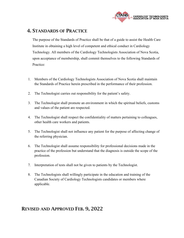

### 4. STANDARDS OF PRACTICE

The purpose of the Standards of Practice shall be that of a guide to assist the Health Care Institute in obtaining a high level of competent and ethical conduct in Cardiology Technology. All members of the Cardiology Technologists Association of Nova Scotia, upon acceptance of membership, shall commit themselves to the following Standards of Practice:

- 1. Members of the Cardiology Technologists Association of Nova Scotia shall maintain the Standards of Practice herein prescribed in the performance of their profession.
- 2. The Technologist carries out responsibility for the patient's safety.
- 3. The Technologist shall promote an environment in which the spiritual beliefs, customs and values of the patient are respected.
- 4. The Technologist shall respect the confidentiality of matters pertaining to colleagues, other health care workers and patients.
- 5. The Technologist shall not influence any patient for the purpose of affecting change of the referring physician.
- 6. The Technologist shall assume responsibility for professional decisions made in the practice of the profession but understand that the diagnosis is outside the scope of the profession.
- 7. Interpretation of tests shall not be given to patients by the Technologist.
- 8. The Technologists shall willingly participate in the education and training of the Canadian Society of Cardiology Technologists candidates or members where applicable.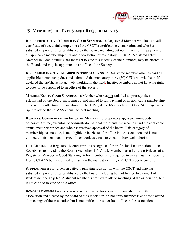

## 5. MEMBERSHIP TYPES AND REQUIREMENTS

**REGISTERED ACTIVE MEMBER IN GOOD STANDING** - a Registered Member who holds a valid certificate of successful completion of the CSCT's certification examination and who has satisfied all prerequisites established by the Board, including but not limited to full payment of all applicable membership dues and/or collection of mandatory CEUs. A Registered active Member in Good Standing has the right to vote at a meeting of the Members, may be elected to the Board, and may be appointed to an office of the Society.

**REGISTERED INACTIVE MEMBER IN GOOD STANDING**- A Registered member who has paid all applicable membership dues and submitted the mandatory thirty (30) CEUs but who has selfdeclared that he/she is not actively working in the field. Inactive Members do not have the right to vote, or be appointed to an office of the Society.

**MEMBER NOT IN GOOD STANDING** - a Member who has not satisfied all prerequisites established by the Board, including but not limited to full payment of all applicable membership dues and/or collection of mandatory CEUs. A Registered Member Not in Good Standing has no right to attend the CTANS annual general meeting.

**BUSINESS, COMMERCIAL OR INDUSTRY MEMBER** – a proprietorship, association, body corporate, trustee, executor, or administrator of legal representative who has paid the applicable annual membership fee and who has received approval of the board. This category of membership has no vote, is not eligible to be elected for office in the association and is not entitled to this membership type if they work as a registered cardiology technologist.

**LIFE MEMBER** - a Registered Member who is recognized for professional contribution to the Society, as approved by the Board (See policy 11). A Life Member has all of the privileges of a Registered Member in Good Standing. A life member is not required to pay annual membership fees to CTANS but is required to maintain the mandatory thirty (30) CEUs per triennium.

**STUDENT MEMBER** – a person actively pursuing registration with the CSCT and who has satisfied all prerequisites established by the board, including but not limited to payment of student membership fee. A student member is entitled to attend meetings of the association, but it not entitled to vote or hold office.

**HONORARY MEMBER** – a person who is recognized for services or contributions to the association and elected by the board of the association. an honorary member is entitles to attend all meetings of the association but is not entitled to vote or hold office in the association.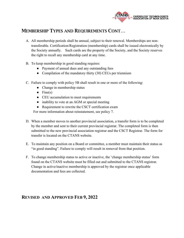

## MEMBERSHIP TYPES AND REQUIREMENTS CONT…

- A. All membership periods shall be annual, subject to their renewal. Memberships are nontransferable. Certification/Registration (membership) cards shall be issued electronically by the Society annually. Such cards are the property of the Society, and the Society reserves the right to recall any membership card at any time.
- B. To keep membership in good standing requires:
	- Payment of annual dues and any outstanding fees
	- Compilation of the mandatory thirty (30) CEUs per triennium
- C. Failure to comply with policy 5B shall result in one or more of the following:
	- Change in membership status
	- $\bullet$  Fine(s)
	- CEU accumulation to meet requirements
	- inability to vote at an AGM or special meeting
	- Requirement to rewrite the CSCT certification exam

For more information about reinstatement, see policy 7.

- D. When a member moves to another provincial association, a transfer form is to be completed by the member and sent to their current provincial registrar. The completed form is then submitted to the new provincial association registrar and the CSCT Registrar. The form for transfer is located on the CTANS website.
- E. To maintain any position on a Board or committee, a member must maintain their status as "in good standing". Failure to comply will result in removal from that position.
- F. To change membership status to active or inactive, the 'change membership status' form found on the CTANS website must be filled out and submitted to the CTANS registrar. Change in active/inactive membership is approved by the registrar once applicable documentation and fees are collected.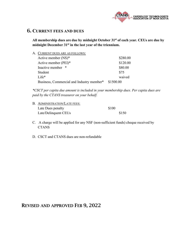

#### 6. **CURRENT FEES AND DUES**

**All membership dues are due by midnight October 31st of each year. CEUs are due by midnight December 31st in the last year of the triennium.**

A. CURRENT DUES ARE AS FOLLOWS:

| Active member (NS)*                       | \$280.00  |
|-------------------------------------------|-----------|
| Active member (PEI)*                      | \$120.00  |
| Inactive member *                         | \$80.00   |
| Student                                   | \$75      |
| $Life*$                                   | waived    |
| Business, Commercial and Industry member* | \$1500.00 |

*\*CSCT per capita due amount is included in your membership dues. Per capita dues are paid by the CTANS treasurer on your behalf.*

- B. ADMINISTRATION/LATE FEES: Late Dues penalty \$100 Late/Delinquent CEUs \$150
- C. A charge will be applied for any NSF (non-sufficient funds) cheque received by **CTANS**
- D. CSCT and CTANS dues are non-refundable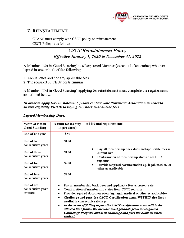

## 7. REINSTATEMENT

CTANS must comply with CSCT policy on reinstatement. CSCT Policy is as follows:

#### **CSCT** Reinstatement Policy Effective January 1, 2020 to December 31, 2022

A Member "Not in Good Standing" is a Registered Member (except a Life member) who has lapsed in one or both of the following:

- 1. Annual dues and / or any applicable fees
- 2. The required 30 CEUs per triennium

A Member "Not in Good Standing" applying for reinstatement must complete the requirements as outlined below:

In order to apply for reinstatement, please contact your Provincial Association in order to ensure eligibility PRIOR to paying any back dues and/or fees.

| <b>Years of Not in</b><br><b>Good Standing</b> | Admin fee (to stay<br>in province) | <b>Additional requirements:</b>                                                                                                                                                                                                                                                                                                                                                                                                                                                                                                |  |
|------------------------------------------------|------------------------------------|--------------------------------------------------------------------------------------------------------------------------------------------------------------------------------------------------------------------------------------------------------------------------------------------------------------------------------------------------------------------------------------------------------------------------------------------------------------------------------------------------------------------------------|--|
| End of one year                                | \$50                               |                                                                                                                                                                                                                                                                                                                                                                                                                                                                                                                                |  |
| End of two<br>consecutive years                | \$100                              | Pay all membership back dues and applicable fees at                                                                                                                                                                                                                                                                                                                                                                                                                                                                            |  |
| End of three<br>consecutive years              | \$150                              | current rate<br>Confirmation of membership status from CSCT<br>registrar                                                                                                                                                                                                                                                                                                                                                                                                                                                       |  |
| End of four<br>consecutive years               | \$200                              | Provide required documentation eg. legal, medical or<br>other as applicable                                                                                                                                                                                                                                                                                                                                                                                                                                                    |  |
| End of five<br>consecutive years               | \$250                              |                                                                                                                                                                                                                                                                                                                                                                                                                                                                                                                                |  |
| End of six<br>consecutive years<br>or more     | ٠<br>٠<br>٠<br>٠<br><b>student</b> | Pay all membership back dues and applicable fees at current rate<br>Confirmation of membership status from CSCT registrar<br>Provide required documentation (eg. legal, medical or other as applicable)<br>Challenge and pass the CSCT Certification exam WITHIN the first 4<br>available consecutive sittings<br>In the event of failing to pass the CSCT certification exam within the<br>allowed time frame, the member must graduate from a recognised<br>Cardiology Program and then challenge and pass the exam as a new |  |

#### Lapsed Membership Dues: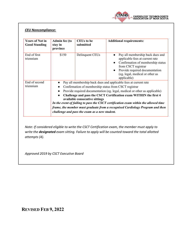

#### *CEU Noncompliance:*

| <b>Years of Not in</b><br><b>Good Standing</b> | <b>Admin fee (to</b><br>stay in<br>province                                                                                                                                                                                                                                              | <b>CEUs</b> to be<br>submitted | <b>Additional requirements:</b>                                                                                                                                                                                                                            |  |  |
|------------------------------------------------|------------------------------------------------------------------------------------------------------------------------------------------------------------------------------------------------------------------------------------------------------------------------------------------|--------------------------------|------------------------------------------------------------------------------------------------------------------------------------------------------------------------------------------------------------------------------------------------------------|--|--|
| End of first<br>triennium                      | \$150                                                                                                                                                                                                                                                                                    | Delinquent CEUs                | Pay all membership back dues and<br>$\bullet$<br>applicable fees at current rate<br>Confirmation of membership status<br>$\bullet$<br>from CSCT registrar<br>Provide required documentation<br>$\bullet$<br>(eg. legal, medical or other as<br>applicable) |  |  |
| End of second                                  | Pay all membership back dues and applicable fees at current rate<br>$\bullet$                                                                                                                                                                                                            |                                |                                                                                                                                                                                                                                                            |  |  |
| triennium                                      | Confirmation of membership status from CSCT registrar<br>$\bullet$                                                                                                                                                                                                                       |                                |                                                                                                                                                                                                                                                            |  |  |
|                                                | Provide required documentation (eg. legal, medical or other as applicable)<br>$\bullet$                                                                                                                                                                                                  |                                |                                                                                                                                                                                                                                                            |  |  |
|                                                | Challenge and pass the CSCT Certification exam WITHIN the first 4<br>$\bullet$<br>available consecutive sittings<br>In the event of failing to pass the CSCT certification exam within the allowed time<br>frame, the member must graduate from a recognised Cardiology Program and then |                                |                                                                                                                                                                                                                                                            |  |  |
|                                                | challenge and pass the exam as a new student.                                                                                                                                                                                                                                            |                                |                                                                                                                                                                                                                                                            |  |  |

*Note: If considered eligible to write the CSCT Certification exam, the member must apply to write the designated exam sitting. Failure to apply will be counted toward the total allotted attempts (4).*

*Approved 2019 by CSCT Executive Board*

**REVISED FEB 9, 2022**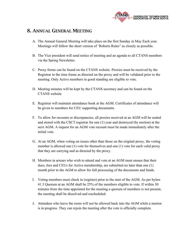

#### 8. ANNUAL GENERAL MEETING

- A. The Annual General Meeting will take place on the first Sunday in May Each year. Meetings will follow the short version of 'Roberts Rules" as closely as possible.
- B. The Vice president will send notice of meeting and an agenda to all CTANS members via the Spring Newsletter.
- C. Proxy forms can be found on the CTANS website. Proxies must be received by the Registrar in the time frame as directed on the proxy and will be validated prior to the meeting. Only Active members in good standing are eligible to vote.
- D. Meeting minutes will be kept by the CTANS secretary and can be found on the CTANS website
- E. Registrar will maintain attendance book at the AGM. Certificates of attendance will be given to members for CEU supporting documents.
- F. To allow for recounts or discrepancies, all proxies received at an AGM will be sealed and stored with the CSCT registrar for one (1) year and destroyed (by motion) at the next AGM. A request for an AGM vote recount must be made immediately after the initial vote.
- G. At an AGM, when voting on issues other than those on the original proxy, the voting member is allowed one (1) vote for themselves and one (1) vote for each valid proxy that they are carrying and as directed by the proxy.
- H. Members in arrears who wish to attend and vote at an AGM must ensure that their dues, fees and CEUs for Active membership, are submitted no later than one (1) month prior to the AGM to allow for full processing of the documents and funds.
- I. Voting members must check in (register) prior to the start of the AGM. As per bylaw 41.3 Quorum at an AGM shall be 25% of the members eligible to vote. If within 30 minutes from the time appointed for the meeting a quorum of members is not present, the meeting shall be dissolved and rescheduled.
- J. Attendees who leave the room will not be allowed back into the AGM while a motion is in progress. They can rejoin the meeting after the vote is officially complete.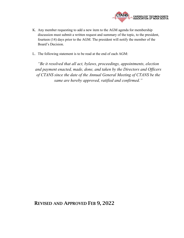

- K. Any member requesting to add a new item to the AGM agenda for membership discussion must submit a written request and summary of the topic, to the president, fourteen (14) days prior to the AGM. The president will notify the member of the Board's Decision.
- L. The following statement is to be read at the end of each AGM:

*"Be it resolved that all act, bylaws, proceedings, appointments, election and payment enacted, made, done, and taken by the Directors and Officers of CTANS since the date of the Annual General Meeting of CTANS be the same are hereby approved, ratified and confirmed."*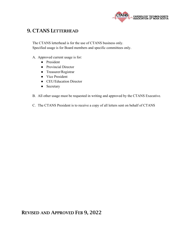

## 9. CTANS LETTERHEAD

The CTANS letterhead is for the use of CTANS business only. Specified usage is for Board members and specific committees only.

- A. Approved current usage is for:
	- President
	- Provincial Director
	- Treasurer/Registrar
	- Vice President
	- CEU/Education Director
	- Secretary
- B. All other usage must be requested in writing and approved by the CTANS Executive.
- C. The CTANS President is to receive a copy of all letters sent on behalf of CTANS